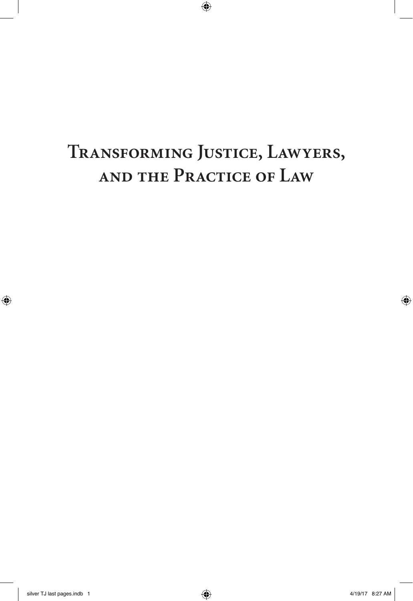# **Transforming Justice, Lawyers, and the Practice of Law**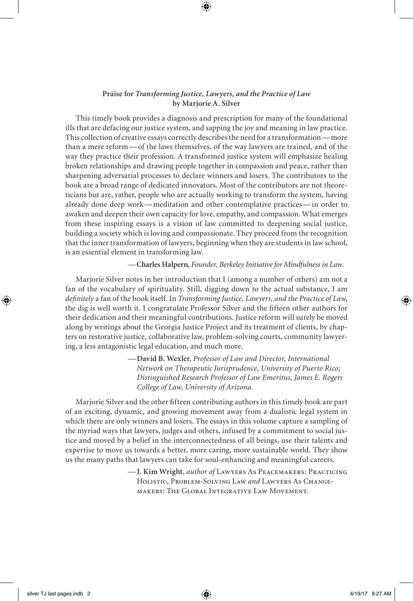#### **Praise for** *Transforming Justice, Lawyers, and the Practice of Law* **by Marjorie A. Silver**

This timely book provides a diagnosis and prescription for many of the foundational ills that are defacing our justice system, and sapping the joy and meaning in law practice. This collection of creative essays correctly describes the need for a transformation—more than a mere reform—of the laws themselves, of the way lawyers are trained, and of the way they practice their profession. A transformed justice system will emphasize healing broken relationships and drawing people together in compassion and peace, rather than sharpening adversarial processes to declare winners and losers. The contributors to the book are a broad range of dedicated innovators. Most of the contributors are not theoreticians but are, rather, people who are actually working to transform the system, having already done deep work—meditation and other contemplative practices—in order to awaken and deepen their own capacity for love, empathy, and compassion. What emerges from these inspiring essays is a vision of law committed to deepening social justice, building a society which is loving and compassionate. They proceed from the recognition that the inner transformation of lawyers, beginning when they are students in law school, is an essential element in transforming law.

#### — **Charles Halpern**, *Founder, Berkeley Initiative for Mindfulness in Law.*

Marjorie Silver notes in her introduction that I (among a number of others) am not a fan of the vocabulary of spirituality. Still, digging down to the actual substance, I am *definitely* a fan of the book itself. In *Transforming Justice, Lawyers, and the Practice of Law*, the dig is well worth it. I congratulate Professor Silver and the fifteen other authors for their dedication and their meaningful contributions. Justice reform will surely be moved along by writings about the Georgia Justice Project and its treatment of clients, by chapters on restorative justice, collaborative law, problem-solving courts, community lawyering, a less antagonistic legal education, and much more.

> — **David B. Wexler**, *Professor of Law and Director, International Network on Therapeutic Jurisprudence, University of Puerto Rico; Distinguished Research Professor of Law Emeritus, James E. Rogers College of Law, University of Arizona.*

Marjorie Silver and the other fifteen contributing authors in this timely book are part of an exciting, dynamic, and growing movement away from a dualistic legal system in which there are only winners and losers. The essays in this volume capture a sampling of the myriad ways that lawyers, judges and others, infused by a commitment to social justice and moved by a belief in the interconnectedness of all beings, use their talents and expertise to move us towards a better, more caring, more sustainable world. They show us the many paths that lawyers can take for soul-enhancing and meaningful careers.

> — **J. Kim Wright**, *author of* Lawyers As Peacemakers: Practicing Holistic, Problem-Solving Law *and* Lawyers As Changemakers: The Global Integrative Law Movement.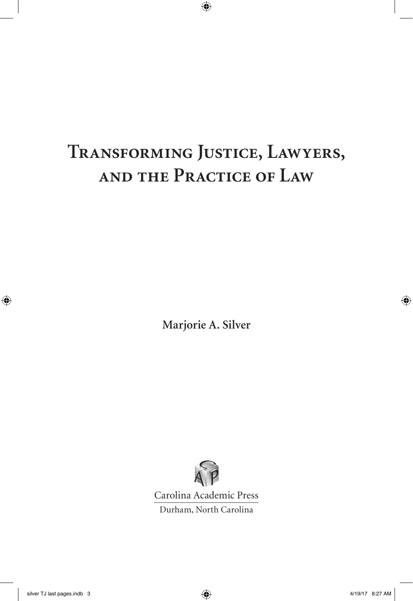# **Transforming Justice, Lawyers, and the Practice of Law**

**Marjorie A. Silver**



Carolina Academic Press Durham, North Carolina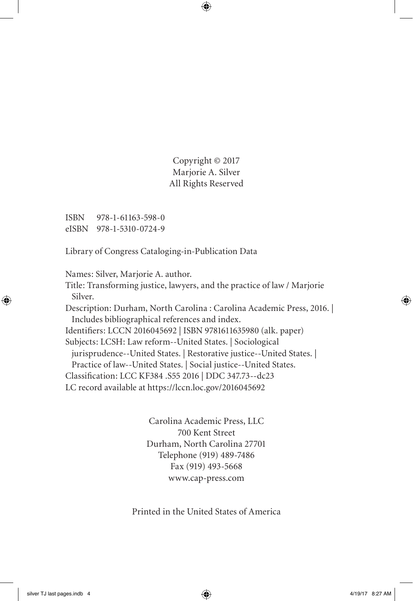Copyright © 2017 Marjorie A. Silver All Rights Reserved

ISBN 978-1-61163-598-0 eISBN 978-1-5310-0724-9

Library of Congress Cataloging-in-Publication Data

Names: Silver, Marjorie A. author.

Title: Transforming justice, lawyers, and the practice of law / Marjorie Silver.

Description: Durham, North Carolina : Carolina Academic Press, 2016. | Includes bibliographical references and index.

Identifiers: LCCN 2016045692 | ISBN 9781611635980 (alk. paper)

Subjects: LCSH: Law reform--United States. | Sociological

jurisprudence--United States. | Restorative justice--United States. |

Practice of law--United States. | Social justice--United States.

Classification: LCC KF384 .S55 2016 | DDC 347.73--dc23

LC record available at https://lccn.loc.gov/2016045692

Carolina Academic Press, LLC 700 Kent Street Durham, North Carolina 27701 Telephone (919) 489-7486 Fax (919) 493-5668 www.cap-press.com

Printed in the United States of America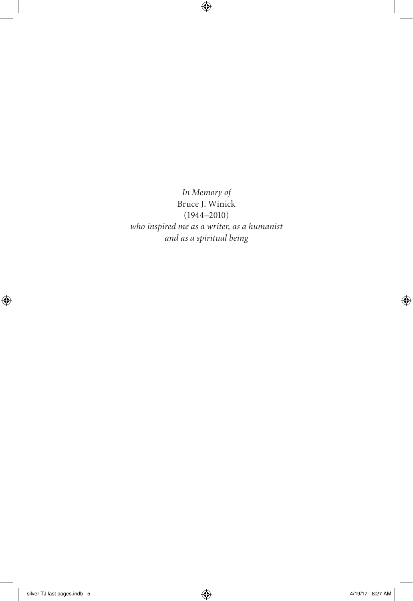*In Memory of* Bruce J. Winick (1944–2010) *who inspired me as a writer, as a humanist and as a spiritual being*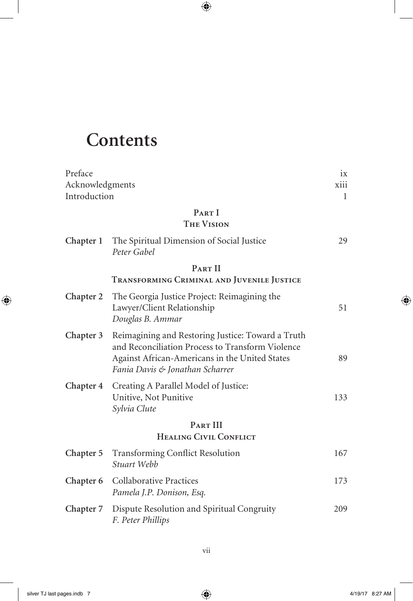## **Contents**

| Preface         |                                                                                                                                                                                            | 1X           |
|-----------------|--------------------------------------------------------------------------------------------------------------------------------------------------------------------------------------------|--------------|
| Acknowledgments |                                                                                                                                                                                            | xiii         |
| Introduction    |                                                                                                                                                                                            | $\mathbf{1}$ |
|                 | PART I<br><b>THE VISION</b>                                                                                                                                                                |              |
| Chapter 1       | The Spiritual Dimension of Social Justice<br>Peter Gabel                                                                                                                                   | 29           |
|                 | PART II                                                                                                                                                                                    |              |
|                 | TRANSFORMING CRIMINAL AND JUVENILE JUSTICE                                                                                                                                                 |              |
| Chapter 2       | The Georgia Justice Project: Reimagining the<br>Lawyer/Client Relationship<br>Douglas B. Ammar                                                                                             | 51           |
| Chapter 3       | Reimagining and Restoring Justice: Toward a Truth<br>and Reconciliation Process to Transform Violence<br>Against African-Americans in the United States<br>Fania Davis & Jonathan Scharrer | 89           |
| Chapter 4       | Creating A Parallel Model of Justice:<br>Unitive, Not Punitive<br>Sylvia Clute                                                                                                             | 133          |
|                 | PART III                                                                                                                                                                                   |              |
|                 | <b>HEALING CIVIL CONFLICT</b>                                                                                                                                                              |              |
| Chapter 5       | <b>Transforming Conflict Resolution</b><br>Stuart Webb                                                                                                                                     | 167          |
| Chapter 6       | <b>Collaborative Practices</b><br>Pamela J.P. Donison, Esq.                                                                                                                                | 173          |
| Chapter 7       | Dispute Resolution and Spiritual Congruity<br>F. Peter Phillips                                                                                                                            | 209          |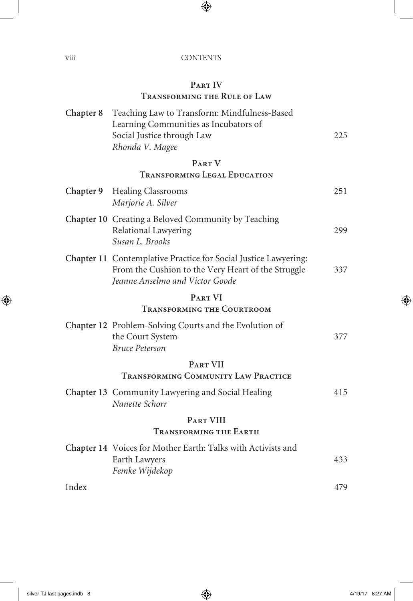viii CONTENTS

### **Part IV**

### **Transforming the Rule of Law**

| Chapter 8 | Teaching Law to Transform: Mindfulness-Based                                |     |
|-----------|-----------------------------------------------------------------------------|-----|
|           | Learning Communities as Incubators of                                       |     |
|           | Social Justice through Law                                                  | 225 |
|           | Rhonda V. Magee                                                             |     |
|           | PART V                                                                      |     |
|           | <b>TRANSFORMING LEGAL EDUCATION</b>                                         |     |
|           | Chapter 9 Healing Classrooms<br>Marjorie A. Silver                          | 251 |
|           |                                                                             |     |
|           | Chapter 10 Creating a Beloved Community by Teaching<br>Relational Lawyering | 299 |
|           | Susan L. Brooks                                                             |     |
|           | Chapter 11 Contemplative Practice for Social Justice Lawyering:             |     |
|           | From the Cushion to the Very Heart of the Struggle                          | 337 |
|           | Jeanne Anselmo and Victor Goode                                             |     |
|           | PART VI                                                                     |     |
|           | <b>TRANSFORMING THE COURTROOM</b>                                           |     |
|           | Chapter 12 Problem-Solving Courts and the Evolution of                      |     |
|           | the Court System                                                            | 377 |
|           | <b>Bruce Peterson</b>                                                       |     |
|           | <b>PART VII</b>                                                             |     |
|           | TRANSFORMING COMMUNITY LAW PRACTICE                                         |     |
|           | Chapter 13 Community Lawyering and Social Healing                           | 415 |
|           | Nanette Schorr                                                              |     |
|           | <b>PART VIII</b>                                                            |     |
|           | <b>TRANSFORMING THE EARTH</b>                                               |     |
|           | Chapter 14 Voices for Mother Earth: Talks with Activists and                |     |
|           | Earth Lawyers                                                               | 433 |
|           | Femke Wijdekop                                                              |     |
| Index     |                                                                             | 479 |
|           |                                                                             |     |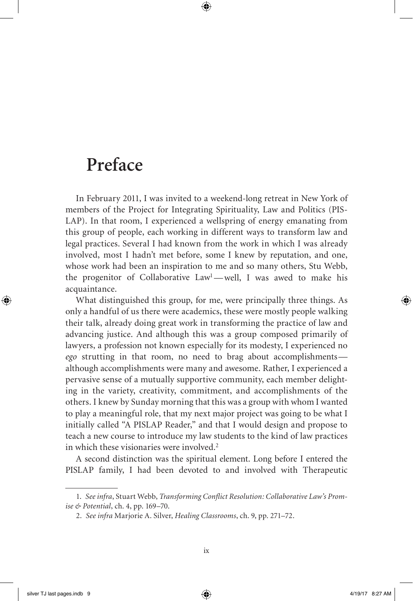## **Preface**

In February 2011, I was invited to a weekend-long retreat in New York of members of the Project for Integrating Spirituality, Law and Politics (PIS-LAP). In that room, I experienced a wellspring of energy emanating from this group of people, each working in different ways to transform law and legal practices. Several I had known from the work in which I was already involved, most I hadn't met before, some I knew by reputation, and one, whose work had been an inspiration to me and so many others, Stu Webb, the progenitor of Collaborative Law<sup>1</sup>-well, I was awed to make his acquaintance.

What distinguished this group, for me, were principally three things. As only a handful of us there were academics, these were mostly people walking their talk, already doing great work in transforming the practice of law and advancing justice. And although this was a group composed primarily of lawyers, a profession not known especially for its modesty, I experienced no *ego* strutting in that room, no need to brag about accomplishments although accomplishments were many and awesome. Rather, I experienced a pervasive sense of a mutually supportive community, each member delighting in the variety, creativity, commitment, and accomplishments of the others. I knew by Sunday morning that this was a group with whom I wanted to play a meaningful role, that my next major project was going to be what I initially called "A PISLAP Reader," and that I would design and propose to teach a new course to introduce my law students to the kind of law practices in which these visionaries were involved.<sup>2</sup>

A second distinction was the spiritual element. Long before I entered the PISLAP family, I had been devoted to and involved with Therapeutic

<sup>1.</sup> *See infra*, Stuart Webb, *Transforming Conflict Resolution: Collaborative Law's Promise & Potential*, ch. 4, pp. 169–70.

<sup>2.</sup> *See infra* Marjorie A. Silver, *Healing Classrooms*, ch. 9, pp. 271–72.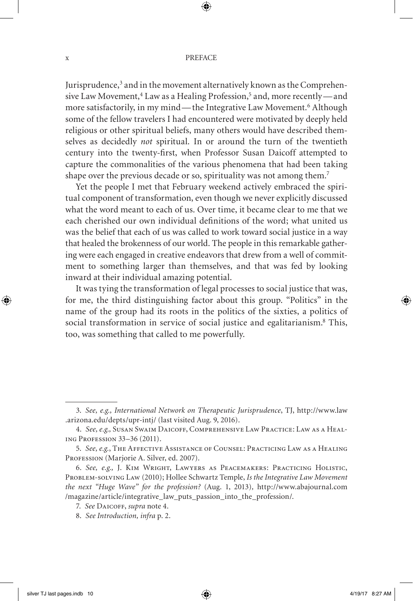#### $x \rightarrow P$

Jurisprudence,<sup>3</sup> and in the movement alternatively known as the Comprehensive Law Movement,<sup>4</sup> Law as a Healing Profession,<sup>5</sup> and, more recently—and more satisfactorily, in my mind—the Integrative Law Movement.<sup>6</sup> Although some of the fellow travelers I had encountered were motivated by deeply held religious or other spiritual beliefs, many others would have described themselves as decidedly *not* spiritual. In or around the turn of the twentieth century into the twenty-first, when Professor Susan Daicoff attempted to capture the commonalities of the various phenomena that had been taking shape over the previous decade or so, spirituality was not among them.7

Yet the people I met that February weekend actively embraced the spiritual component of transformation, even though we never explicitly discussed what the word meant to each of us. Over time, it became clear to me that we each cherished our own individual definitions of the word; what united us was the belief that each of us was called to work toward social justice in a way that healed the brokenness of our world. The people in this remarkable gathering were each engaged in creative endeavors that drew from a well of commitment to something larger than themselves, and that was fed by looking inward at their individual amazing potential.

It was tying the transformation of legal processes to social justice that was, for me, the third distinguishing factor about this group. "Politics" in the name of the group had its roots in the politics of the sixties, a politics of social transformation in service of social justice and egalitarianism.8 This, too, was something that called to me powerfully.

<sup>3.</sup> *See, e.g., International Network on Therapeutic Jurisprudence*, TJ, http://www.law .arizona.edu/depts/upr-intj/ (last visited Aug. 9, 2016).

<sup>4.</sup> *See, e.g.,* Susan Swaim Daicoff, Comprehensive Law Practice: Law as a Healing Profession 33–36 (2011).

<sup>5.</sup> *See, e.g.*, The Affective Assistance of Counsel: Practicing Law as a Healing PROFESSION (Marjorie A. Silver, ed. 2007).

<sup>6.</sup> *See, e.g.,* J. Kim Wright, Lawyers as Peacemakers: Practicing Holistic, Problem-solving Law (2010); Hollee Schwartz Temple, *Is the Integrative Law Movement the next "Huge Wave" for the profession?* (Aug. 1, 2013)*,* http://www.abajournal.com /magazine/article/integrative\_law\_puts\_passion\_into\_the\_profession/.

<sup>7.</sup> *See* Daicoff, *supra* note 4.

<sup>8.</sup> *See Introduction, infra* p. 2.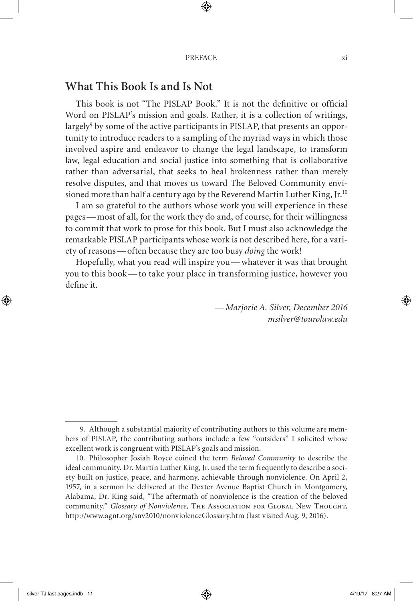### **What This Book Is and Is Not**

This book is not "The PISLAP Book." It is not the definitive or official Word on PISLAP's mission and goals. Rather, it is a collection of writings, largely $^9$  by some of the active participants in PISLAP, that presents an opportunity to introduce readers to a sampling of the myriad ways in which those involved aspire and endeavor to change the legal landscape, to transform law, legal education and social justice into something that is collaborative rather than adversarial, that seeks to heal brokenness rather than merely resolve disputes, and that moves us toward The Beloved Community envisioned more than half a century ago by the Reverend Martin Luther King, Jr.<sup>10</sup>

I am so grateful to the authors whose work you will experience in these pages— most of all, for the work they do and, of course, for their willingness to commit that work to prose for this book. But I must also acknowledge the remarkable PISLAP participants whose work is not described here, for a variety of reasons— often because they are too busy *doing* the work!

Hopefully, what you read will inspire you— whatever it was that brought you to this book— to take your place in transforming justice, however you define it.

> — *Marjorie A. Silver, December 2016 msilver@tourolaw.edu*

<sup>9.</sup> Although a substantial majority of contributing authors to this volume are members of PISLAP, the contributing authors include a few "outsiders" I solicited whose excellent work is congruent with PISLAP's goals and mission.

<sup>10.</sup> Philosopher Josiah Royce coined the term *Beloved Community* to describe the ideal community. Dr. Martin Luther King, Jr. used the term frequently to describe a society built on justice, peace, and harmony, achievable through nonviolence. On April 2, 1957, in a sermon he delivered at the Dexter Avenue Baptist Church in Montgomery, Alabama, Dr. King said, "The aftermath of nonviolence is the creation of the beloved community." *Glossary of Nonviolence,* The Association for Global New Thought, http://www.agnt.org/snv2010/nonviolenceGlossary.htm (last visited Aug. 9, 2016).